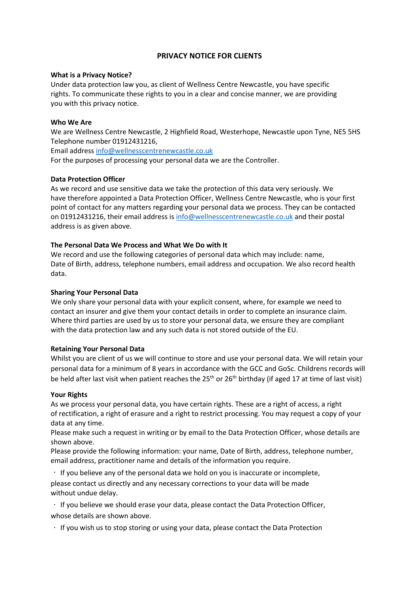# **PRIVACY NOTICE FOR CLIENTS**

### **What is a Privacy Notice?**

Under data protection law you, as client of Wellness Centre Newcastle, you have specific rights. To communicate these rights to you in a clear and concise manner, we are providing you with this privacy notice.

### **Who We Are**

We are Wellness Centre Newcastle, 2 Highfield Road, Westerhope, Newcastle upon Tyne, NE5 5HS Telephone number 01912431216,

Email address [info@wellnesscentrenewcastle.co.uk](mailto:info@wellnesscentrenewcastle.co.uk)

For the purposes of processing your personal data we are the Controller.

## **Data Protection Officer**

As we record and use sensitive data we take the protection of this data very seriously. We have therefore appointed a Data Protection Officer, Wellness Centre Newcastle, who is your first point of contact for any matters regarding your personal data we process. They can be contacted on 01912431216, their email address is [info@wellnesscentrenewcastle.co.uk](mailto:info@wellnesscentrenewcastle.co.uk) and their postal address is as given above.

### **The Personal Data We Process and What We Do with It**

We record and use the following categories of personal data which may include: name, Date of Birth, address, telephone numbers, email address and occupation. We also record health data.

### **Sharing Your Personal Data**

We only share your personal data with your explicit consent, where, for example we need to contact an insurer and give them your contact details in order to complete an insurance claim. Where third parties are used by us to store your personal data, we ensure they are compliant with the data protection law and any such data is not stored outside of the EU.

#### **Retaining Your Personal Data**

Whilst you are client of us we will continue to store and use your personal data. We will retain your personal data for a minimum of 8 years in accordance with the GCC and GoSc. Childrens records will be held after last visit when patient reaches the 25<sup>th</sup> or 26<sup>th</sup> birthday (if aged 17 at time of last visit)

#### **Your Rights**

As we process your personal data, you have certain rights. These are a right of access, a right of rectification, a right of erasure and a right to restrict processing. You may request a copy of your data at any time.

Please make such a request in writing or by email to the Data Protection Officer, whose details are shown above.

Please provide the following information: your name, Date of Birth, address, telephone number, email address, practitioner name and details of the information you require.

 $\cdot$  If you believe any of the personal data we hold on you is inaccurate or incomplete,

please contact us directly and any necessary corrections to your data will be made without undue delay.

 $\cdot$  If you believe we should erase your data, please contact the Data Protection Officer, whose details are shown above.

 $\cdot$  If you wish us to stop storing or using your data, please contact the Data Protection